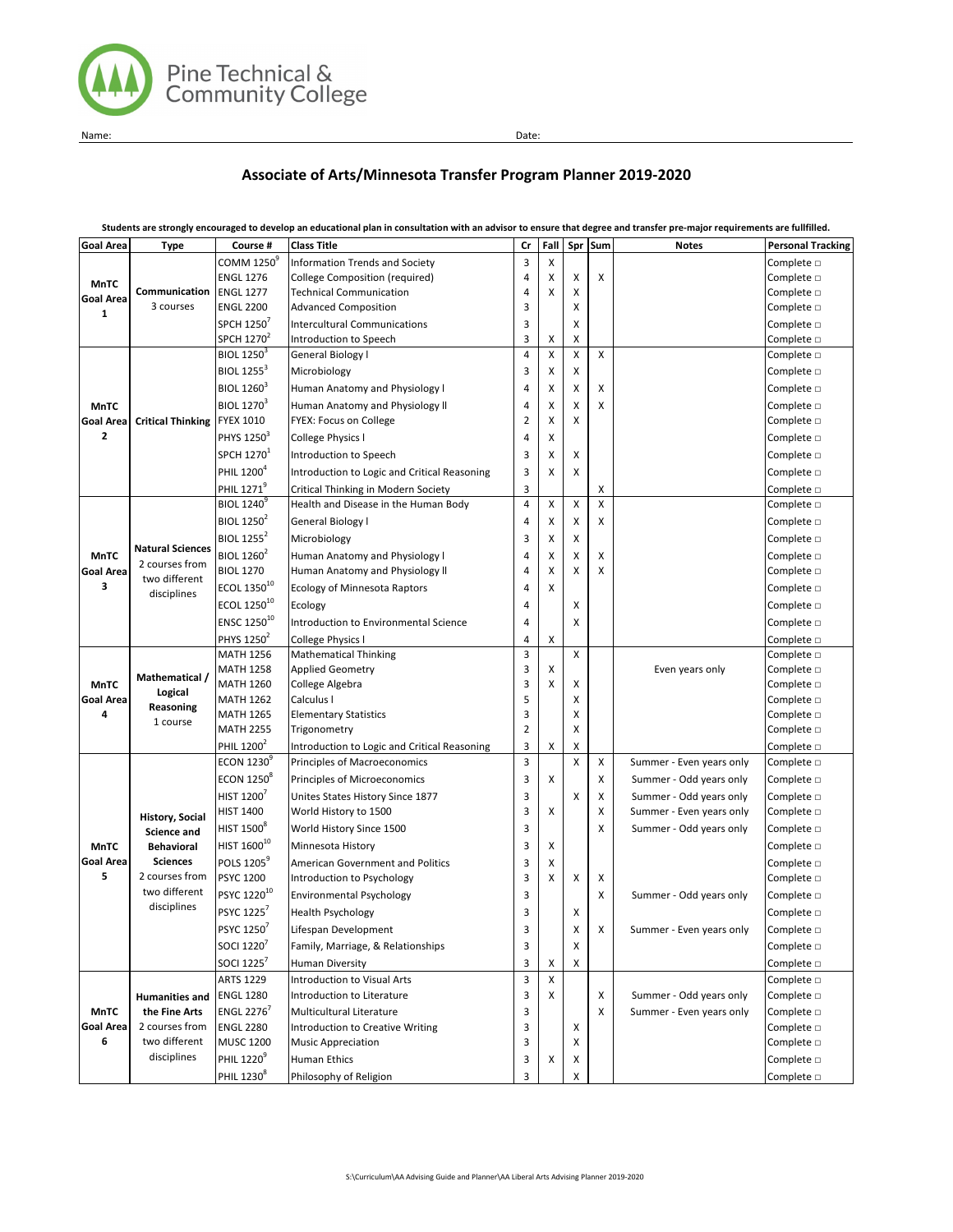

Name: Date:

# **Associate of Arts/Minnesota Transfer Program Planner 2019-2020**

| <b>Goal Area</b> | <b>Type</b>                                                | Course #                      | <b>Class Title</b>                           | Cr             | Fall   | Spr    | Sum    | <b>Notes</b>             | <b>Personal Tracking</b> |
|------------------|------------------------------------------------------------|-------------------------------|----------------------------------------------|----------------|--------|--------|--------|--------------------------|--------------------------|
| <b>MnTC</b>      |                                                            | COMM 1250 <sup>9</sup>        | Information Trends and Society               | 3              | X      |        |        |                          | Complete $\Box$          |
|                  |                                                            | <b>ENGL 1276</b>              | College Composition (required)               | 4              | х      | х      | x      |                          | Complete D               |
| Goal Area        | Communication                                              | <b>ENGL 1277</b>              | <b>Technical Communication</b>               | 4              | X      | х      |        |                          | Complete D               |
| 1                | 3 courses                                                  | <b>ENGL 2200</b>              | <b>Advanced Composition</b>                  | 3              |        | х      |        |                          | Complete $\square$       |
|                  |                                                            | SPCH 1250                     | <b>Intercultural Communications</b>          | 3              |        | X      |        |                          | Complete D               |
|                  |                                                            | SPCH 1270 <sup>2</sup>        | Introduction to Speech                       | 3              | X      | X      |        |                          | Complete $\square$       |
|                  |                                                            | BIOL 1250 <sup>3</sup>        | General Biology I                            | $\overline{4}$ | X      | Χ      | X      |                          | Complete $\Box$          |
|                  | <b>Critical Thinking</b>                                   | <b>BIOL 1255<sup>3</sup></b>  | Microbiology                                 | 3              | х      | X      |        |                          | Complete $\square$       |
|                  |                                                            | <b>BIOL 1260<sup>3</sup></b>  | Human Anatomy and Physiology I               | 4              | Χ      | х      | x      |                          | Complete $\Box$          |
| <b>MnTC</b>      |                                                            | <b>BIOL 1270<sup>3</sup></b>  | Human Anatomy and Physiology II              | 4              | х      | X      | х      |                          | Complete D               |
| <b>Goal Area</b> |                                                            | FYEX 1010                     | FYEX: Focus on College                       | $\overline{2}$ | X      | X      |        |                          | Complete $\square$       |
| 2                |                                                            | PHYS 1250 <sup>3</sup>        | College Physics I                            | $\overline{4}$ | х      |        |        |                          | Complete $\Box$          |
|                  |                                                            | SPCH 1270 <sup>1</sup>        | Introduction to Speech                       | 3              | х      | X      |        |                          | Complete $\square$       |
|                  |                                                            | PHIL 1200 <sup>4</sup>        | Introduction to Logic and Critical Reasoning | 3              | Χ      | X      |        |                          | Complete D               |
|                  |                                                            | PHIL 1271 <sup>9</sup>        | Critical Thinking in Modern Society          | 3              |        |        | х      |                          | Complete D               |
|                  |                                                            | BIOL 1240 <sup>9</sup>        | Health and Disease in the Human Body         | $\overline{4}$ | X      | X      | Χ      |                          | Complete D               |
|                  |                                                            | <b>BIOL 1250<sup>2</sup></b>  | General Biology I                            | 4              | х      | х      | x      |                          | Complete $\Box$          |
|                  |                                                            | <b>BIOL 1255<sup>2</sup></b>  | Microbiology                                 | 3              | х      | Χ      |        |                          | Complete $\square$       |
|                  | <b>Natural Sciences</b>                                    | BIOL 1260 <sup>2</sup>        |                                              |                |        |        |        |                          |                          |
| <b>MnTC</b>      | 2 courses from                                             | <b>BIOL 1270</b>              | Human Anatomy and Physiology I               | 4<br>4         | X<br>X | X<br>X | x<br>X |                          | Complete D<br>Complete D |
| Goal Area<br>3   | two different                                              |                               | Human Anatomy and Physiology II              |                |        |        |        |                          |                          |
|                  | disciplines                                                | ECOL 1350 <sup>10</sup>       | <b>Ecology of Minnesota Raptors</b>          | 4              | X      |        |        |                          | Complete $\Box$          |
|                  |                                                            | ECOL 1250 <sup>10</sup>       | Ecology                                      | 4              |        | х      |        |                          | Complete <b>D</b>        |
|                  |                                                            | ENSC 1250 <sup>10</sup>       | <b>Introduction to Environmental Science</b> | 4              |        | X      |        |                          | Complete D               |
|                  |                                                            | PHYS 1250 <sup>2</sup>        | College Physics I                            | 4              | X      |        |        |                          | Complete D               |
|                  | Mathematical /<br>Logical                                  | <b>MATH 1256</b>              | <b>Mathematical Thinking</b>                 | 3              |        | X      |        |                          | Complete D               |
|                  |                                                            | <b>MATH 1258</b>              | <b>Applied Geometry</b>                      | 3              | х      |        |        | Even years only          | Complete <b>D</b>        |
| <b>MnTC</b>      |                                                            | <b>MATH 1260</b>              | College Algebra                              | 3              | X      | х      |        |                          | Complete D               |
| Goal Area        | Reasoning                                                  | MATH 1262                     | Calculus I                                   | 5              |        | X      |        |                          | Complete $\Box$          |
| 4                | 1 course                                                   | <b>MATH 1265</b>              | <b>Elementary Statistics</b>                 | 3              |        | X      |        |                          | Complete D               |
|                  |                                                            | <b>MATH 2255</b>              | Trigonometry                                 | $\overline{2}$ |        | X      |        |                          | Complete <b>D</b>        |
|                  |                                                            | PHIL 1200 <sup>2</sup>        | Introduction to Logic and Critical Reasoning | 3              | х      | X      |        |                          | Complete $\square$       |
|                  |                                                            | <b>ECON 1230</b>              | Principles of Macroeconomics                 | 3              |        | X      | X      | Summer - Even years only | Complete $\square$       |
|                  | <b>History, Social</b><br>Science and<br><b>Behavioral</b> | <b>ECON 1250</b> <sup>8</sup> | Principles of Microeconomics                 | 3              | X      |        | x      | Summer - Odd years only  | Complete $\Box$          |
|                  |                                                            | HIST 1200                     | Unites States History Since 1877             | 3              |        | X      | x      | Summer - Odd years only  | Complete D               |
|                  |                                                            | <b>HIST 1400</b>              | World History to 1500                        | 3              | X      |        | x      | Summer - Even years only | Complete <b>D</b>        |
|                  |                                                            | HIST 1500 <sup>8</sup>        | World History Since 1500                     | 3              |        |        | X      | Summer - Odd years only  | Complete <b>D</b>        |
| <b>MnTC</b>      |                                                            | HIST 1600 <sup>10</sup>       | Minnesota History                            | 3              | X      |        |        |                          | Complete D               |
| Goal Area        | <b>Sciences</b>                                            | POLS 1205 <sup>9</sup>        | <b>American Government and Politics</b>      | 3              | х      |        |        |                          | Complete D               |
| 5                | 2 courses from                                             | <b>PSYC 1200</b>              | Introduction to Psychology                   | 3              | X      | X      | х      |                          | Complete $\square$       |
|                  | two different                                              | PSYC 122010                   | Environmental Psychology                     | 3              |        |        | x      | Summer - Odd years only  | Complete <b>D</b>        |
|                  | disciplines                                                | PSYC 1225                     | <b>Health Psychology</b>                     | 3              |        | х      |        |                          | Complete $\Box$          |
|                  |                                                            | PSYC 1250 <sup>7</sup>        | Lifespan Development                         | 3              |        | X      | Χ      | Summer - Even years only | Complete $\square$       |
|                  |                                                            | SOCI 1220                     | Family, Marriage, & Relationships            | 3              |        | х      |        |                          | Complete $\Box$          |
|                  |                                                            | SOCI 1225 <sup>7</sup>        | <b>Human Diversity</b>                       | 3              | х      | X      |        |                          | Complete $\square$       |
|                  |                                                            | <b>ARTS 1229</b>              | Introduction to Visual Arts                  | 3              | X      |        |        |                          | Complete D               |
|                  | <b>Humanities and</b>                                      | <b>ENGL 1280</b>              | Introduction to Literature                   | 3              | X      |        | X      | Summer - Odd years only  | Complete $\square$       |
| <b>MnTC</b>      | the Fine Arts                                              | <b>ENGL 2276</b>              | Multicultural Literature                     | 3              |        |        | X      | Summer - Even years only | Complete D               |
| Goal Area        | 2 courses from                                             | <b>ENGL 2280</b>              | Introduction to Creative Writing             | 3              |        | х      |        |                          | Complete D               |
| 6                | two different                                              | <b>MUSC 1200</b>              | <b>Music Appreciation</b>                    | 3              |        | х      |        |                          | Complete $\square$       |
|                  | disciplines                                                | <b>PHIL 1220</b>              | Human Ethics                                 | 3              | х      | х      |        |                          | Complete $\square$       |
|                  |                                                            | PHIL 1230 <sup>8</sup>        | Philosophy of Religion                       | 3              |        | х      |        |                          | Complete $\square$       |
|                  |                                                            |                               |                                              |                |        |        |        |                          |                          |

**Students are strongly encouraged to develop an educational plan in consultation with an advisor to ensure that degree and transfer pre-major requirements are fullfilled.**